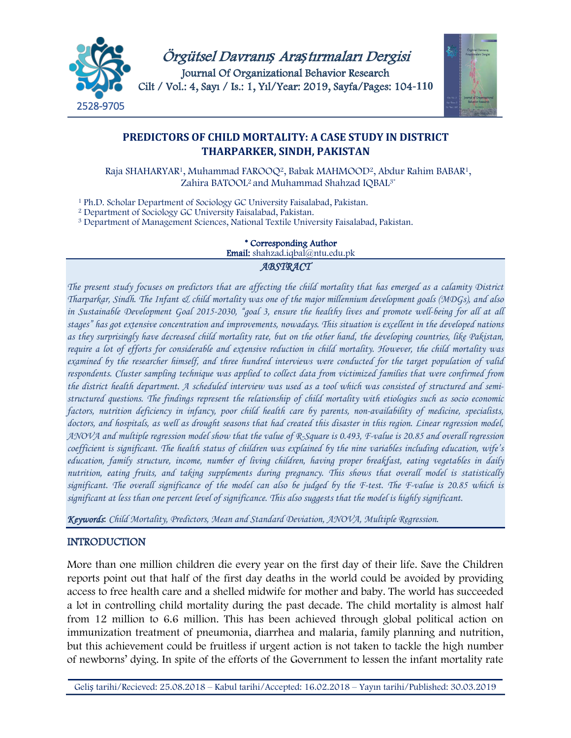



# **PREDICTORS OF CHILD MORTALITY: A CASE STUDY IN DISTRICT THARPARKER, SINDH, PAKISTAN**

Raja SHAHARYAR1, Muhammad FAROOQ2, Babak MAHMOOD2, Abdur Rahim BABAR1, Zahira BATOOL<sup>2</sup> and Muhammad Shahzad IQBAL<sup>3\*</sup>

<sup>1</sup> Ph.D. Scholar Department of Sociology GC University Faisalabad, Pakistan.

<sup>2</sup> Department of Sociology GC University Faisalabad, Pakistan.

<sup>3</sup> Department of Management Sciences, National Textile University Faisalabad, Pakistan.

\* Corresponding Author Email: shahzad.iqbal@ntu.edu.pk

#### *ABSTRACT*

*The present study focuses on predictors that are affecting the child mortality that has emerged as a calamity District Tharparkar, Sindh. The Infant & child mortality was one of the major millennium development goals (MDGs), and also*  in Sustainable Development Goal 2015-2030, "goal 3, ensure the healthy lives and promote well-being for all at all *stages" has got extensive concentration and improvements, nowadays. This situation is excellent in the developed nations as they surprisingly have decreased child mortality rate, but on the other hand, the developing countries, like Pakistan, require a lot of efforts for considerable and extensive reduction in child mortality. However, the child mortality was examined by the researcher himself, and three hundred interviews were conducted for the target population of valid respondents. Cluster sampling technique was applied to collect data from victimized families that were confirmed from the district health department. A scheduled interview was used as a tool which was consisted of structured and semistructured questions. The findings represent the relationship of child mortality with etiologies such as socio economic factors, nutrition deficiency in infancy, poor child health care by parents, non-availability of medicine, specialists, doctors, and hospitals, as well as drought seasons that had created this disaster in this region. Linear regression model, ANOVA and multiple regression model show that the value of R-Square is 0.493, F-value is 20.85 and overall regression coefficient is significant. The health status of children was explained by the nine variables including education, wife's education, family structure, income, number of living children, having proper breakfast, eating vegetables in daily nutrition, eating fruits, and taking supplements during pregnancy. This shows that overall model is statistically significant. The overall significance of the model can also be judged by the F-test. The F-value is 20.85 which is significant at less than one percent level of significance. This also suggests that the model is highly significant.*

*Keywords*: *Child Mortality, Predictors, Mean and Standard Deviation, ANOVA, Multiple Regression.*

### INTRODUCTION

More than one million children die every year on the first day of their life. Save the Children reports point out that half of the first day deaths in the world could be avoided by providing access to free health care and a shelled midwife for mother and baby. The world has succeeded a lot in controlling child mortality during the past decade. The child mortality is almost half from 12 million to 6.6 million. This has been achieved through global political action on immunization treatment of pneumonia, diarrhea and malaria, family planning and nutrition, but this achievement could be fruitless if urgent action is not taken to tackle the high number of newborns' dying. In spite of the efforts of the Government to lessen the infant mortality rate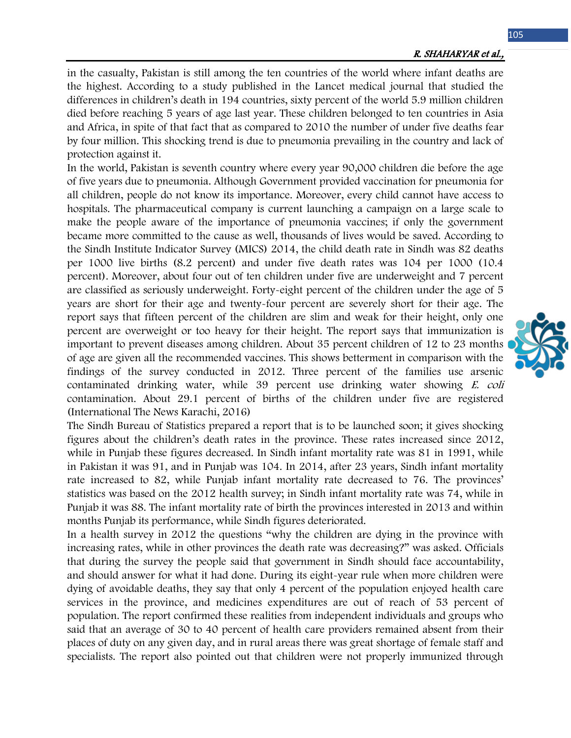105

in the casualty, Pakistan is still among the ten countries of the world where infant deaths are the highest. According to a study published in the Lancet medical journal that studied the differences in children's death in 194 countries, sixty percent of the world 5.9 million children died before reaching 5 years of age last year. These children belonged to ten countries in Asia and Africa, in spite of that fact that as compared to 2010 the number of under five deaths fear by four million. This shocking trend is due to pneumonia prevailing in the country and lack of protection against it.

In the world, Pakistan is seventh country where every year 90,000 children die before the age of five years due to pneumonia. Although Government provided vaccination for pneumonia for all children, people do not know its importance. Moreover, every child cannot have access to hospitals. The pharmaceutical company is current launching a campaign on a large scale to make the people aware of the importance of pneumonia vaccines; if only the government became more committed to the cause as well, thousands of lives would be saved. According to the Sindh Institute Indicator Survey (MICS) 2014, the child death rate in Sindh was 82 deaths per 1000 live births (8.2 percent) and under five death rates was 104 per 1000 (10.4 percent). Moreover, about four out of ten children under five are underweight and 7 percent are classified as seriously underweight. Forty-eight percent of the children under the age of 5 years are short for their age and twenty-four percent are severely short for their age. The report says that fifteen percent of the children are slim and weak for their height, only one percent are overweight or too heavy for their height. The report says that immunization is important to prevent diseases among children. About 35 percent children of 12 to 23 months of age are given all the recommended vaccines. This shows betterment in comparison with the findings of the survey conducted in 2012. Three percent of the families use arsenic contaminated drinking water, while 39 percent use drinking water showing E. coli contamination. About 29.1 percent of births of the children under five are registered (International The News Karachi, 2016)

The Sindh Bureau of Statistics prepared a report that is to be launched soon; it gives shocking figures about the children's death rates in the province. These rates increased since 2012, while in Punjab these figures decreased. In Sindh infant mortality rate was 81 in 1991, while in Pakistan it was 91, and in Punjab was 104. In 2014, after 23 years, Sindh infant mortality rate increased to 82, while Punjab infant mortality rate decreased to 76. The provinces' statistics was based on the 2012 health survey; in Sindh infant mortality rate was 74, while in Punjab it was 88. The infant mortality rate of birth the provinces interested in 2013 and within months Punjab its performance, while Sindh figures deteriorated.

In a health survey in 2012 the questions "why the children are dying in the province with increasing rates, while in other provinces the death rate was decreasing?" was asked. Officials that during the survey the people said that government in Sindh should face accountability, and should answer for what it had done. During its eight-year rule when more children were dying of avoidable deaths, they say that only 4 percent of the population enjoyed health care services in the province, and medicines expenditures are out of reach of 53 percent of population. The report confirmed these realities from independent individuals and groups who said that an average of 30 to 40 percent of health care providers remained absent from their places of duty on any given day, and in rural areas there was great shortage of female staff and specialists. The report also pointed out that children were not properly immunized through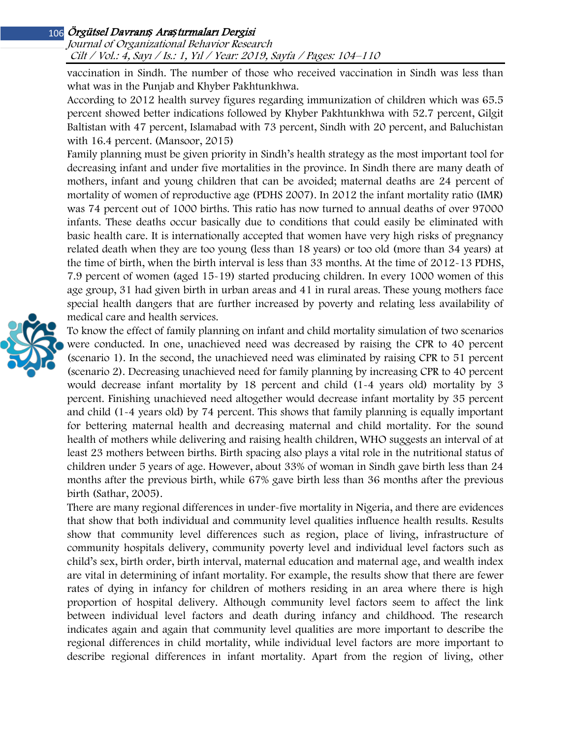# Örgütsel Davranı*ş* Ara*ş*tırmaları Dergisi 106

Journal of Organizational Behavior Research Cilt / Vol.: 4, Sayı / Is.: <sup>1</sup>, Yıl / Year: 2019, Sayfa / Pages: 104–110

vaccination in Sindh. The number of those who received vaccination in Sindh was less than what was in the Punjab and Khyber Pakhtunkhwa.

According to 2012 health survey figures regarding immunization of children which was 65.5 percent showed better indications followed by Khyber Pakhtunkhwa with 52.7 percent, Gilgit Baltistan with 47 percent, Islamabad with 73 percent, Sindh with 20 percent, and Baluchistan with 16.4 percent. (Mansoor, 2015)

Family planning must be given priority in Sindh's health strategy as the most important tool for decreasing infant and under five mortalities in the province. In Sindh there are many death of mothers, infant and young children that can be avoided; maternal deaths are 24 percent of mortality of women of reproductive age (PDHS 2007). In 2012 the infant mortality ratio (IMR) was 74 percent out of 1000 births. This ratio has now turned to annual deaths of over 97000 infants. These deaths occur basically due to conditions that could easily be eliminated with basic health care. It is internationally accepted that women have very high risks of pregnancy related death when they are too young (less than 18 years) or too old (more than 34 years) at the time of birth, when the birth interval is less than 33 months. At the time of 2012-13 PDHS, 7.9 percent of women (aged 15-19) started producing children. In every 1000 women of this age group, 31 had given birth in urban areas and 41 in rural areas. These young mothers face special health dangers that are further increased by poverty and relating less availability of medical care and health services.

To know the effect of family planning on infant and child mortality simulation of two scenarios were conducted. In one, unachieved need was decreased by raising the CPR to 40 percent (scenario 1). In the second, the unachieved need was eliminated by raising CPR to 51 percent (scenario 2). Decreasing unachieved need for family planning by increasing CPR to 40 percent would decrease infant mortality by 18 percent and child (1-4 years old) mortality by 3 percent. Finishing unachieved need altogether would decrease infant mortality by 35 percent and child (1-4 years old) by 74 percent. This shows that family planning is equally important for bettering maternal health and decreasing maternal and child mortality. For the sound health of mothers while delivering and raising health children, WHO suggests an interval of at least 23 mothers between births. Birth spacing also plays a vital role in the nutritional status of children under 5 years of age. However, about 33% of woman in Sindh gave birth less than 24 months after the previous birth, while 67% gave birth less than 36 months after the previous birth (Sathar, 2005).

There are many regional differences in under-five mortality in Nigeria, and there are evidences that show that both individual and community level qualities influence health results. Results show that community level differences such as region, place of living, infrastructure of community hospitals delivery, community poverty level and individual level factors such as child's sex, birth order, birth interval, maternal education and maternal age, and wealth index are vital in determining of infant mortality. For example, the results show that there are fewer rates of dying in infancy for children of mothers residing in an area where there is high proportion of hospital delivery. Although community level factors seem to affect the link between individual level factors and death during infancy and childhood. The research indicates again and again that community level qualities are more important to describe the regional differences in child mortality, while individual level factors are more important to describe regional differences in infant mortality. Apart from the region of living, other

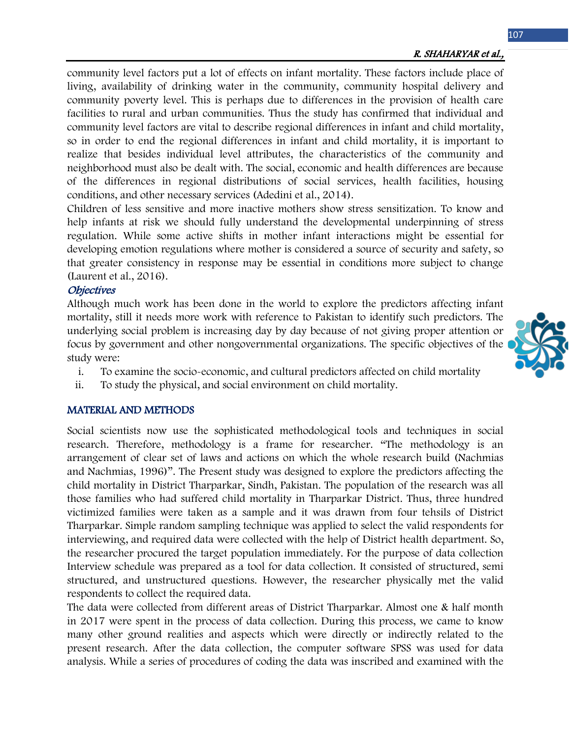community level factors put a lot of effects on infant mortality. These factors include place of living, availability of drinking water in the community, community hospital delivery and community poverty level. This is perhaps due to differences in the provision of health care facilities to rural and urban communities. Thus the study has confirmed that individual and community level factors are vital to describe regional differences in infant and child mortality, so in order to end the regional differences in infant and child mortality, it is important to realize that besides individual level attributes, the characteristics of the community and neighborhood must also be dealt with. The social, economic and health differences are because of the differences in regional distributions of social services, health facilities, housing conditions, and other necessary services (Adedini et al., 2014).

Children of less sensitive and more inactive mothers show stress sensitization. To know and help infants at risk we should fully understand the developmental underpinning of stress regulation. While some active shifts in mother infant interactions might be essential for developing emotion regulations where mother is considered a source of security and safety, so that greater consistency in response may be essential in conditions more subject to change (Laurent et al., 2016).

### **Objectives**

Although much work has been done in the world to explore the predictors affecting infant mortality, still it needs more work with reference to Pakistan to identify such predictors. The underlying social problem is increasing day by day because of not giving proper attention or focus by government and other nongovernmental organizations. The specific objectives of the study were:

- i. To examine the socio-economic, and cultural predictors affected on child mortality
- ii. To study the physical, and social environment on child mortality.

### MATERIAL AND METHODS

Social scientists now use the sophisticated methodological tools and techniques in social research. Therefore, methodology is a frame for researcher. "The methodology is an arrangement of clear set of laws and actions on which the whole research build (Nachmias and Nachmias, 1996)". The Present study was designed to explore the predictors affecting the child mortality in District Tharparkar, Sindh, Pakistan. The population of the research was all those families who had suffered child mortality in Tharparkar District. Thus, three hundred victimized families were taken as a sample and it was drawn from four tehsils of District Tharparkar. Simple random sampling technique was applied to select the valid respondents for interviewing, and required data were collected with the help of District health department. So, the researcher procured the target population immediately. For the purpose of data collection Interview schedule was prepared as a tool for data collection. It consisted of structured, semi structured, and unstructured questions. However, the researcher physically met the valid respondents to collect the required data.

The data were collected from different areas of District Tharparkar. Almost one & half month in 2017 were spent in the process of data collection. During this process, we came to know many other ground realities and aspects which were directly or indirectly related to the present research. After the data collection, the computer software SPSS was used for data analysis. While a series of procedures of coding the data was inscribed and examined with the

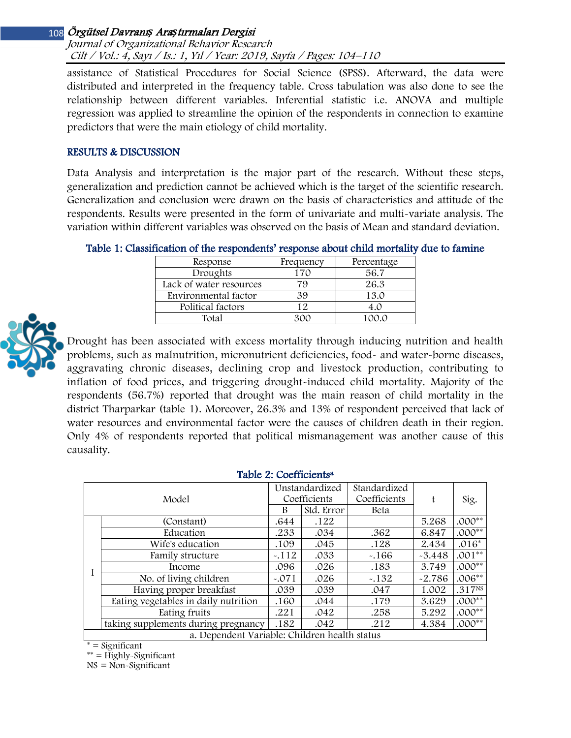# Örgütsel Davranı*ş* Ara*ş*tırmaları Dergisi 108

Journal of Organizational Behavior Research Cilt / Vol.: 4, Sayı / Is.: <sup>1</sup>, Yıl / Year: 2019, Sayfa / Pages: 104–110

assistance of Statistical Procedures for Social Science (SPSS). Afterward, the data were distributed and interpreted in the frequency table. Cross tabulation was also done to see the relationship between different variables. Inferential statistic i.e. ANOVA and multiple regression was applied to streamline the opinion of the respondents in connection to examine predictors that were the main etiology of child mortality.

#### RESULTS & DISCUSSION

Data Analysis and interpretation is the major part of the research. Without these steps, generalization and prediction cannot be achieved which is the target of the scientific research. Generalization and conclusion were drawn on the basis of characteristics and attitude of the respondents. Results were presented in the form of univariate and multi-variate analysis. The variation within different variables was observed on the basis of Mean and standard deviation.

|  |  | Table 1: Classification of the respondents' response about child mortality due to famine |
|--|--|------------------------------------------------------------------------------------------|
|--|--|------------------------------------------------------------------------------------------|

| Response                | Frequency | Percentage |
|-------------------------|-----------|------------|
| Droughts                | 170       | 56.7       |
| Lack of water resources | 79        | 26.3       |
| Environmental factor    | 39        | 13.0       |
| Political factors       | 12        | 4.0        |
| Total                   |           | 1ററ റ      |



Drought has been associated with excess mortality through inducing nutrition and health problems, such as malnutrition, micronutrient deficiencies, food- and water-borne diseases, aggravating chronic diseases, declining crop and livestock production, contributing to inflation of food prices, and triggering drought-induced child mortality. Majority of the respondents (56.7%) reported that drought was the main reason of child mortality in the district Tharparkar (table 1). Moreover, 26.3% and 13% of respondent perceived that lack of water resources and environmental factor were the causes of children death in their region. Only 4% of respondents reported that political mismanagement was another cause of this causality.

#### Table 2: Coefficients<sup>a</sup>

| Model                                         |                                      | Unstandardized |            | Standardized |          |                    |  |  |
|-----------------------------------------------|--------------------------------------|----------------|------------|--------------|----------|--------------------|--|--|
|                                               |                                      | Coefficients   |            | Coefficients | f        | Sig.               |  |  |
|                                               |                                      | B              | Std. Error | Beta         |          |                    |  |  |
| 1                                             | (Constant)                           | .644           | .122       |              | 5.268    | $.000**$           |  |  |
|                                               | Education                            | .233           | .034       | .362         | 6.847    | $.000**$           |  |  |
|                                               | Wife's education                     | .109           | .045       | .128         | 2.434    | $.016*$            |  |  |
|                                               | Family structure                     | $-.112$        | .033       | $-166$       | $-3.448$ | $.001**$           |  |  |
|                                               | Income                               | .096           | .026       | .183         | 3.749    | $.000**$           |  |  |
|                                               | No. of living children               | $-.071$        | .026       | $-132$       | $-2.786$ | $.006**$           |  |  |
|                                               | Having proper breakfast              | .039           | .039       | .047         | 1.002    | .317 <sub>NS</sub> |  |  |
|                                               | Eating vegetables in daily nutrition | .160           | .044       | .179         | 3.629    | $.000**$           |  |  |
|                                               | Eating fruits                        | .221           | .042       | .258         | 5.292    | $.000**$           |  |  |
|                                               | taking supplements during pregnancy  | .182           | .042       | .212         | 4.384    | $.000**$           |  |  |
| a. Dependent Variable: Children health status |                                      |                |            |              |          |                    |  |  |

 $=$  Significant

\*\* = Highly-Significant

 $NS = Non-Significant$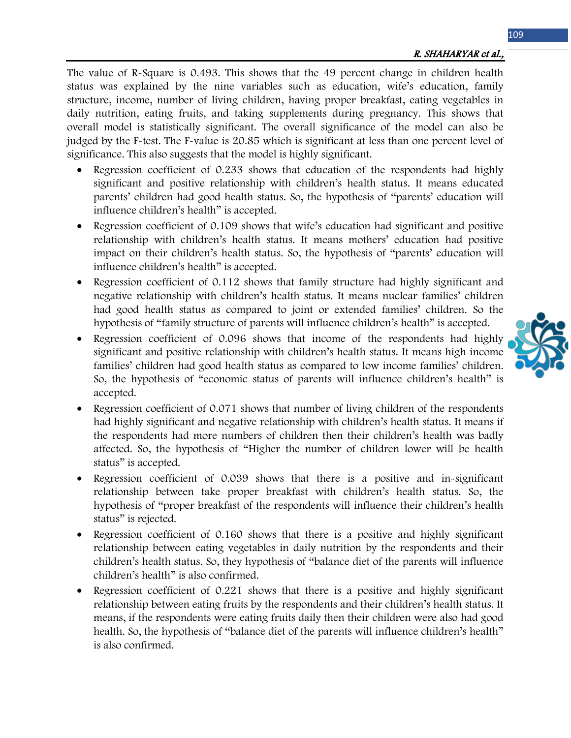The value of R-Square is 0.493. This shows that the 49 percent change in children health status was explained by the nine variables such as education, wife's education, family structure, income, number of living children, having proper breakfast, eating vegetables in daily nutrition, eating fruits, and taking supplements during pregnancy. This shows that overall model is statistically significant. The overall significance of the model can also be judged by the F-test. The F-value is 20.85 which is significant at less than one percent level of significance. This also suggests that the model is highly significant.

- Regression coefficient of 0.233 shows that education of the respondents had highly significant and positive relationship with children's health status. It means educated parents' children had good health status. So, the hypothesis of "parents' education will influence children's health" is accepted.
- Regression coefficient of 0.109 shows that wife's education had significant and positive relationship with children's health status. It means mothers' education had positive impact on their children's health status. So, the hypothesis of "parents' education will influence children's health" is accepted.
- Regression coefficient of 0.112 shows that family structure had highly significant and negative relationship with children's health status. It means nuclear families' children had good health status as compared to joint or extended families' children. So the hypothesis of "family structure of parents will influence children's health" is accepted.
- Regression coefficient of 0.096 shows that income of the respondents had highly significant and positive relationship with children's health status. It means high income families' children had good health status as compared to low income families' children. So, the hypothesis of "economic status of parents will influence children's health" is accepted.
- Regression coefficient of 0.071 shows that number of living children of the respondents had highly significant and negative relationship with children's health status. It means if the respondents had more numbers of children then their children's health was badly affected. So, the hypothesis of "Higher the number of children lower will be health status" is accepted.
- Regression coefficient of 0.039 shows that there is a positive and in-significant relationship between take proper breakfast with children's health status. So, the hypothesis of "proper breakfast of the respondents will influence their children's health status" is rejected.
- Regression coefficient of 0.160 shows that there is a positive and highly significant relationship between eating vegetables in daily nutrition by the respondents and their children's health status. So, they hypothesis of "balance diet of the parents will influence children's health" is also confirmed.
- Regression coefficient of 0.221 shows that there is a positive and highly significant relationship between eating fruits by the respondents and their children's health status. It means, if the respondents were eating fruits daily then their children were also had good health. So, the hypothesis of "balance diet of the parents will influence children's health" is also confirmed.